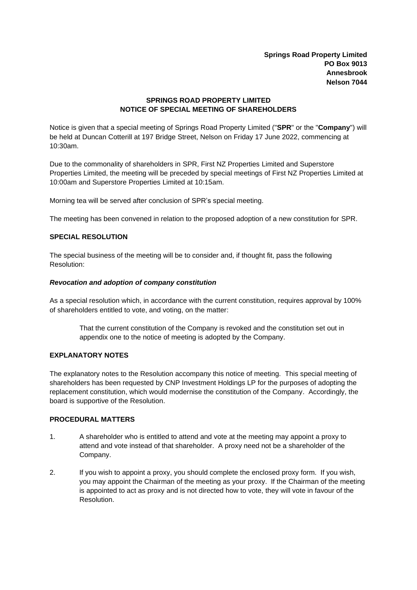**Springs Road Property Limited PO Box 9013 Annesbrook Nelson 7044**

# **SPRINGS ROAD PROPERTY LIMITED NOTICE OF SPECIAL MEETING OF SHAREHOLDERS**

Notice is given that a special meeting of Springs Road Property Limited ("**SPR**" or the "**Company**") will be held at Duncan Cotterill at 197 Bridge Street, Nelson on Friday 17 June 2022, commencing at 10:30am.

Due to the commonality of shareholders in SPR, First NZ Properties Limited and Superstore Properties Limited, the meeting will be preceded by special meetings of First NZ Properties Limited at 10:00am and Superstore Properties Limited at 10:15am.

Morning tea will be served after conclusion of SPR's special meeting.

The meeting has been convened in relation to the proposed adoption of a new constitution for SPR.

# **SPECIAL RESOLUTION**

The special business of the meeting will be to consider and, if thought fit, pass the following Resolution:

## *Revocation and adoption of company constitution*

As a special resolution which, in accordance with the current constitution, requires approval by 100% of shareholders entitled to vote, and voting, on the matter:

That the current constitution of the Company is revoked and the constitution set out in appendix one to the notice of meeting is adopted by the Company.

## **EXPLANATORY NOTES**

The explanatory notes to the Resolution accompany this notice of meeting. This special meeting of shareholders has been requested by CNP Investment Holdings LP for the purposes of adopting the replacement constitution, which would modernise the constitution of the Company. Accordingly, the board is supportive of the Resolution.

### **PROCEDURAL MATTERS**

- 1. A shareholder who is entitled to attend and vote at the meeting may appoint a proxy to attend and vote instead of that shareholder. A proxy need not be a shareholder of the Company.
- 2. If you wish to appoint a proxy, you should complete the enclosed proxy form. If you wish, you may appoint the Chairman of the meeting as your proxy. If the Chairman of the meeting is appointed to act as proxy and is not directed how to vote, they will vote in favour of the Resolution.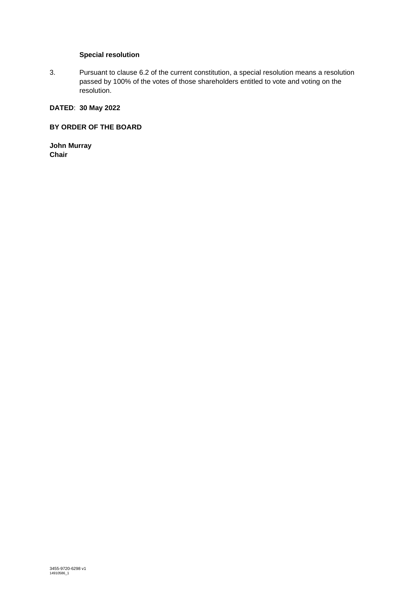# **Special resolution**

3. Pursuant to clause 6.2 of the current constitution, a special resolution means a resolution passed by 100% of the votes of those shareholders entitled to vote and voting on the resolution.

# **DATED**: **30 May 2022**

# **BY ORDER OF THE BOARD**

**John Murray Chair**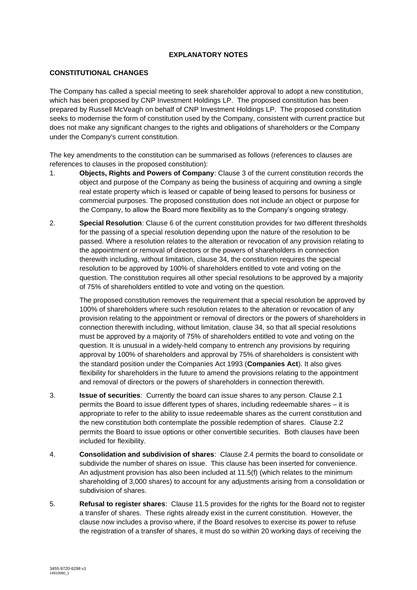# **EXPLANATORY NOTES**

# **CONSTITUTIONAL CHANGES**

The Company has called a special meeting to seek shareholder approval to adopt a new constitution, which has been proposed by CNP Investment Holdings LP. The proposed constitution has been prepared by Russell McVeagh on behalf of CNP Investment Holdings LP. The proposed constitution seeks to modernise the form of constitution used by the Company, consistent with current practice but does not make any significant changes to the rights and obligations of shareholders or the Company under the Company's current constitution.

The key amendments to the constitution can be summarised as follows (references to clauses are references to clauses in the proposed constitution):

- 1. **Objects, Rights and Powers of Company**: Clause 3 of the current constitution records the object and purpose of the Company as being the business of acquiring and owning a single real estate property which is leased or capable of being leased to persons for business or commercial purposes. The proposed constitution does not include an object or purpose for the Company, to allow the Board more flexibility as to the Company's ongoing strategy.
- 2. **Special Resolution**: Clause 6 of the current constitution provides for two different thresholds for the passing of a special resolution depending upon the nature of the resolution to be passed. Where a resolution relates to the alteration or revocation of any provision relating to the appointment or removal of directors or the powers of shareholders in connection therewith including, without limitation, clause 34, the constitution requires the special resolution to be approved by 100% of shareholders entitled to vote and voting on the question. The constitution requires all other special resolutions to be approved by a majority of 75% of shareholders entitled to vote and voting on the question.

The proposed constitution removes the requirement that a special resolution be approved by 100% of shareholders where such resolution relates to the alteration or revocation of any provision relating to the appointment or removal of directors or the powers of shareholders in connection therewith including, without limitation, clause 34, so that all special resolutions must be approved by a majority of 75% of shareholders entitled to vote and voting on the question. It is unusual in a widely-held company to entrench any provisions by requiring approval by 100% of shareholders and approval by 75% of shareholders is consistent with the standard position under the Companies Act 1993 (**Companies Act**). It also gives flexibility for shareholders in the future to amend the provisions relating to the appointment and removal of directors or the powers of shareholders in connection therewith.

- 3. **Issue of securities**: Currently the board can issue shares to any person. Clause 2.1 permits the Board to issue different types of shares, including redeemable shares – it is appropriate to refer to the ability to issue redeemable shares as the current constitution and the new constitution both contemplate the possible redemption of shares. Clause 2.2 permits the Board to issue options or other convertible securities. Both clauses have been included for flexibility.
- 4. **Consolidation and subdivision of shares**: Clause 2.4 permits the board to consolidate or subdivide the number of shares on issue. This clause has been inserted for convenience. An adjustment provision has also been included at 11.5(f) (which relates to the minimum shareholding of 3,000 shares) to account for any adjustments arising from a consolidation or subdivision of shares.
- 5. **Refusal to register shares**: Clause 11.5 provides for the rights for the Board not to register a transfer of shares. These rights already exist in the current constitution. However, the clause now includes a proviso where, if the Board resolves to exercise its power to refuse the registration of a transfer of shares, it must do so within 20 working days of receiving the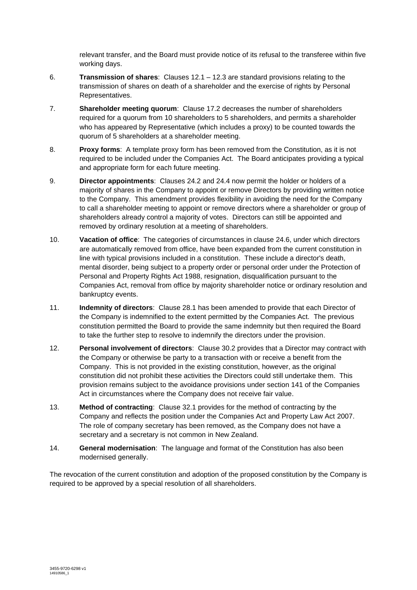relevant transfer, and the Board must provide notice of its refusal to the transferee within five working days.

- 6. **Transmission of shares**: Clauses 12.1 12.3 are standard provisions relating to the transmission of shares on death of a shareholder and the exercise of rights by Personal Representatives.
- 7. **Shareholder meeting quorum**: Clause 17.2 decreases the number of shareholders required for a quorum from 10 shareholders to 5 shareholders, and permits a shareholder who has appeared by Representative (which includes a proxy) to be counted towards the quorum of 5 shareholders at a shareholder meeting.
- 8. **Proxy forms**: A template proxy form has been removed from the Constitution, as it is not required to be included under the Companies Act. The Board anticipates providing a typical and appropriate form for each future meeting.
- 9. **Director appointments**: Clauses 24.2 and 24.4 now permit the holder or holders of a majority of shares in the Company to appoint or remove Directors by providing written notice to the Company. This amendment provides flexibility in avoiding the need for the Company to call a shareholder meeting to appoint or remove directors where a shareholder or group of shareholders already control a majority of votes. Directors can still be appointed and removed by ordinary resolution at a meeting of shareholders.
- 10. **Vacation of office**: The categories of circumstances in clause 24.6, under which directors are automatically removed from office, have been expanded from the current constitution in line with typical provisions included in a constitution. These include a director's death, mental disorder, being subject to a property order or personal order under the Protection of Personal and Property Rights Act 1988, resignation, disqualification pursuant to the Companies Act, removal from office by majority shareholder notice or ordinary resolution and bankruptcy events.
- 11. **Indemnity of directors**: Clause 28.1 has been amended to provide that each Director of the Company is indemnified to the extent permitted by the Companies Act. The previous constitution permitted the Board to provide the same indemnity but then required the Board to take the further step to resolve to indemnify the directors under the provision.
- 12. **Personal involvement of directors**: Clause 30.2 provides that a Director may contract with the Company or otherwise be party to a transaction with or receive a benefit from the Company. This is not provided in the existing constitution, however, as the original constitution did not prohibit these activities the Directors could still undertake them. This provision remains subject to the avoidance provisions under section 141 of the Companies Act in circumstances where the Company does not receive fair value.
- 13. **Method of contracting**: Clause 32.1 provides for the method of contracting by the Company and reflects the position under the Companies Act and Property Law Act 2007. The role of company secretary has been removed, as the Company does not have a secretary and a secretary is not common in New Zealand.
- 14. **General modernisation**: The language and format of the Constitution has also been modernised generally.

The revocation of the current constitution and adoption of the proposed constitution by the Company is required to be approved by a special resolution of all shareholders.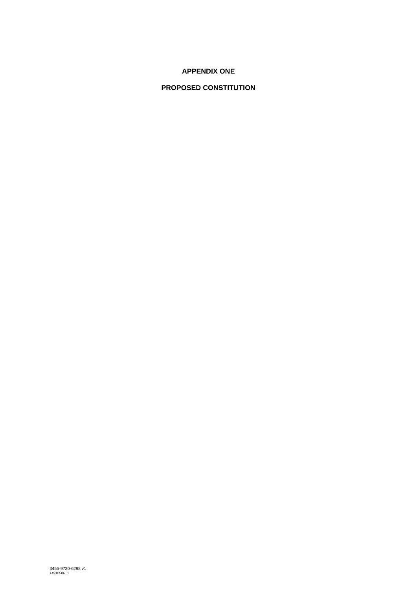# **APPENDIX ONE**

# **PROPOSED CONSTITUTION**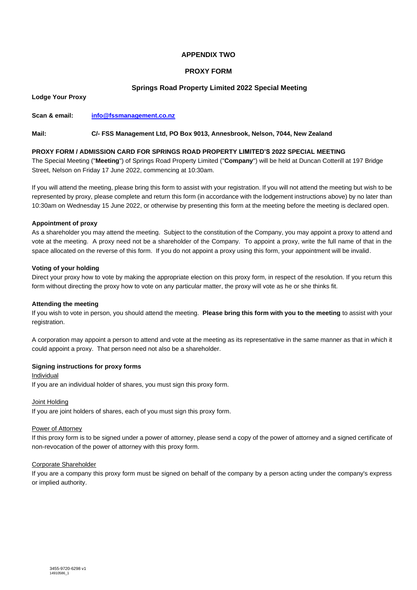## **APPENDIX TWO**

## **PROXY FORM**

## **Springs Road Property Limited 2022 Special Meeting**

**Lodge Your Proxy**

**Scan & email: [info@fssmanagement.co.nz](mailto:info@fssmanagement.co.nz)**

#### **Mail: C/- FSS Management Ltd, PO Box 9013, Annesbrook, Nelson, 7044, New Zealand**

#### **PROXY FORM / ADMISSION CARD FOR SPRINGS ROAD PROPERTY LIMITED'S 2022 SPECIAL MEETING**

The Special Meeting ("**Meeting**") of Springs Road Property Limited ("**Company**") will be held at Duncan Cotterill at 197 Bridge Street, Nelson on Friday 17 June 2022, commencing at 10:30am.

If you will attend the meeting, please bring this form to assist with your registration. If you will not attend the meeting but wish to be represented by proxy, please complete and return this form (in accordance with the lodgement instructions above) by no later than 10:30am on Wednesday 15 June 2022, or otherwise by presenting this form at the meeting before the meeting is declared open.

#### **Appointment of proxy**

As a shareholder you may attend the meeting. Subject to the constitution of the Company, you may appoint a proxy to attend and vote at the meeting. A proxy need not be a shareholder of the Company. To appoint a proxy, write the full name of that in the space allocated on the reverse of this form. If you do not appoint a proxy using this form, your appointment will be invalid.

#### **Voting of your holding**

Direct your proxy how to vote by making the appropriate election on this proxy form, in respect of the resolution. If you return this form without directing the proxy how to vote on any particular matter, the proxy will vote as he or she thinks fit.

#### **Attending the meeting**

If you wish to vote in person, you should attend the meeting. **Please bring this form with you to the meeting** to assist with your registration.

A corporation may appoint a person to attend and vote at the meeting as its representative in the same manner as that in which it could appoint a proxy. That person need not also be a shareholder.

### **Signing instructions for proxy forms**

Individual

If you are an individual holder of shares, you must sign this proxy form.

#### Joint Holding

If you are joint holders of shares, each of you must sign this proxy form.

#### Power of Attorney

If this proxy form is to be signed under a power of attorney, please send a copy of the power of attorney and a signed certificate of non-revocation of the power of attorney with this proxy form.

#### Corporate Shareholder

If you are a company this proxy form must be signed on behalf of the company by a person acting under the company's express or implied authority.